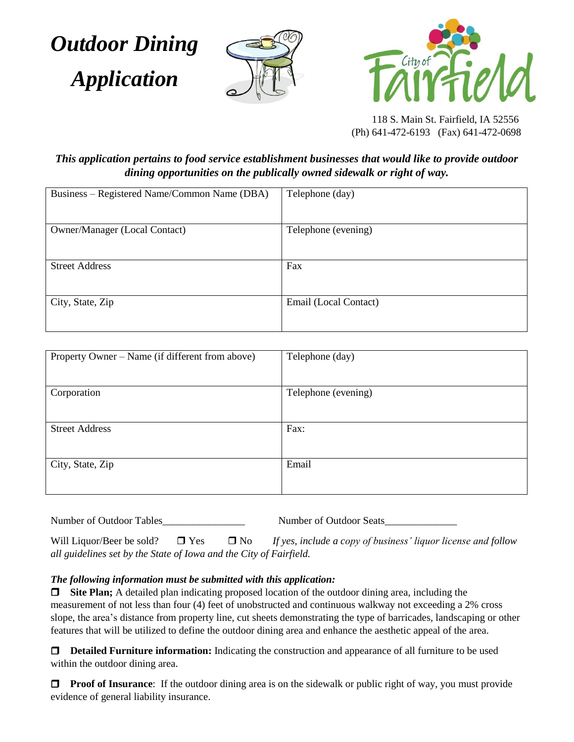*Outdoor Dining*  *Application*





 118 S. Main St. Fairfield, IA 52556 (Ph) 641-472-6193 (Fax) 641-472-0698

*This application pertains to food service establishment businesses that would like to provide outdoor dining opportunities on the publically owned sidewalk or right of way.*

| Business – Registered Name/Common Name (DBA) | Telephone (day)       |
|----------------------------------------------|-----------------------|
| <b>Owner/Manager (Local Contact)</b>         | Telephone (evening)   |
| <b>Street Address</b>                        | Fax                   |
| City, State, Zip                             | Email (Local Contact) |

| Property Owner - Name (if different from above) | Telephone (day)     |
|-------------------------------------------------|---------------------|
| Corporation                                     | Telephone (evening) |
| <b>Street Address</b>                           | Fax:                |
| City, State, Zip                                | Email               |

Number of Outdoor Tables\_\_\_\_\_\_\_\_\_\_\_\_\_\_\_\_\_\_\_\_\_\_\_\_\_\_\_ Number of Outdoor Seats\_

Will Liquor/Beer be sold?  $\Box$  Yes  $\Box$  No *If yes, include a copy of business' liquor license and follow all guidelines set by the State of Iowa and the City of Fairfield.* 

## *The following information must be submitted with this application:*

**Site Plan;** A detailed plan indicating proposed location of the outdoor dining area, including the measurement of not less than four (4) feet of unobstructed and continuous walkway not exceeding a 2% cross slope, the area's distance from property line, cut sheets demonstrating the type of barricades, landscaping or other features that will be utilized to define the outdoor dining area and enhance the aesthetic appeal of the area.

**Detailed Furniture information:** Indicating the construction and appearance of all furniture to be used within the outdoor dining area.

**Proof of Insurance**: If the outdoor dining area is on the sidewalk or public right of way, you must provide evidence of general liability insurance.